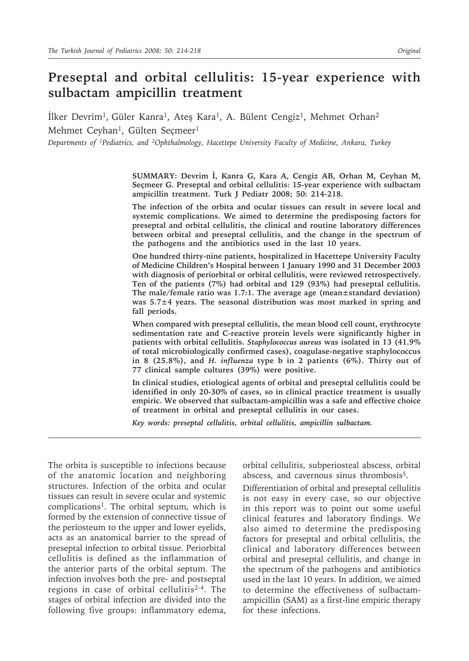# **Preseptal and orbital cellulitis: 15-year experience with sulbactam ampicillin treatment**

 $\mu$ lker Devrim<sup>1</sup>, Güler Kanra<sup>1</sup>, Ateş Kara<sup>1</sup>, A. Bülent Cengiz<sup>1</sup>, Mehmet Orhan<sup>2</sup> Mehmet Ceyhan<sup>1</sup>, Gülten Seçmeer<sup>1</sup>

*Departments of 1Pediatrics, and 2Ophthalmology, Hacettepe University Faculty of Medicine, Ankara, Turkey*

**SUMMARY: Devrim İ, Kanra G, Kara A, Cengiz AB, Orhan M, Ceyhan M, Seçmeer G. Preseptal and orbital cellulitis: 15-year experience with sulbactam ampicillin treatment. Turk J Pediatr 2008; 50: 214-218.**

**The infection of the orbita and ocular tissues can result in severe local and systemic complications. We aimed to determine the predisposing factors for preseptal and orbital cellulitis, the clinical and routine laboratory differences between orbital and preseptal cellulitis, and the change in the spectrum of the pathogens and the antibiotics used in the last 10 years.**

**One hundred thirty-nine patients, hospitalized in Hacettepe University Faculty of Medicine Children's Hospital between 1 January 1990 and 31 December 2003 with diagnosis of periorbital or orbital cellulitis, were reviewed retrospectively. Ten of the patients (7%) had orbital and 129 (93%) had preseptal cellulitis. The male/female ratio was 1.7:1. The average age (mean±standard deviation) was 5.7±4 years. The seasonal distribution was most marked in spring and fall periods.**

**When compared with preseptal cellulitis, the mean blood cell count, erythrocyte sedimentation rate and C-reactive protein levels were significantly higher in patients with orbital cellulitis.** *Staphylococcus aureus* **was isolated in 13 (41.9% of total microbiologically confirmed cases), coagulase-negative staphylococcus in 8 (25.8%), and** *H. influenza* **type b in 2 patients (6%). Thirty out of 77 clinical sample cultures (39%) were positive.**

**In clinical studies, etiological agents of orbital and preseptal cellulitis could be identified in only 20-30% of cases, so in clinical practice treatment is usually empiric. We observed that sulbactam-ampicillin was a safe and effective choice of treatment in orbital and preseptal cellulitis in our cases.**

*Key words: preseptal cellulitis, orbital cellulitis, ampicillin sulbactam.*

The orbita is susceptible to infections because of the anatomic location and neighboring structures. Infection of the orbita and ocular tissues can result in severe ocular and systemic complications1. The orbital septum, which is formed by the extension of connective tissue of the periosteum to the upper and lower eyelids, acts as an anatomical barrier to the spread of preseptal infection to orbital tissue. Periorbital cellulitis is defined as the inflammation of the anterior parts of the orbital septum. The infection involves both the pre- and postseptal regions in case of orbital cellulitis2-4. The stages of orbital infection are divided into the following five groups: inflammatory edema,

orbital cellulitis, subperiosteal abscess, orbital abscess, and cavernous sinus thrombosis5.

Differentiation of orbital and preseptal cellulitis is not easy in every case, so our objective in this report was to point out some useful clinical features and laboratory findings. We also aimed to determine the predisposing factors for preseptal and orbital cellulitis, the clinical and laboratory differences between orbital and preseptal cellulitis, and change in the spectrum of the pathogens and antibiotics used in the last 10 years. In addition, we aimed to determine the effectiveness of sulbactamampicillin (SAM) as a first-line empiric therapy for these infections.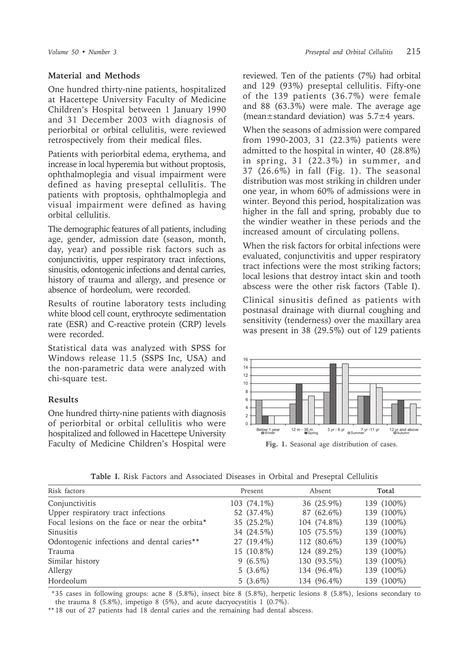### **Material and Methods**

One hundred thirty-nine patients, hospitalized at Hacettepe University Faculty of Medicine Children's Hospital between 1 January 1990 and 31 December 2003 with diagnosis of periorbital or orbital cellulitis, were reviewed retrospectively from their medical files.

Patients with periorbital edema, erythema, and increase in local hyperemia but without proptosis, ophthalmoplegia and visual impairment were defined as having preseptal cellulitis. The patients with proptosis, ophthalmoplegia and visual impairment were defined as having orbital cellulitis.

The demographic features of all patients, including age, gender, admission date (season, month, day, year) and possible risk factors such as conjunctivitis, upper respiratory tract infections, sinusitis, odontogenic infections and dental carries, history of trauma and allergy, and presence or absence of hordeolum, were recorded.

Results of routine laboratory tests including white blood cell count, erythrocyte sedimentation rate (ESR) and C-reactive protein (CRP) levels were recorded.

Statistical data was analyzed with SPSS for Windows release 11.5 (SSPS Inc, USA) and the non-parametric data were analyzed with chi-square test.

#### **Results**

One hundred thirty-nine patients with diagnosis of periorbital or orbital cellulitis who were hospitalized and followed in Hacettepe University Faculty of Medicine Children's Hospital were

reviewed. Ten of the patients (7%) had orbital and 129 (93%) preseptal cellulitis. Fifty-one of the 139 patients (36.7%) were female and 88 (63.3%) were male. The average age (mean $\pm$ standard deviation) was  $5.7\pm4$  years.

When the seasons of admission were compared from 1990-2003, 31 (22.3%) patients were admitted to the hospital in winter, 40 (28.8%) in spring, 31 (22.3%) in summer, and 37 (26.6%) in fall (Fig. 1). The seasonal distribution was most striking in children under one year, in whom 60% of admissions were in winter. Beyond this period, hospitalization was higher in the fall and spring, probably due to the windier weather in these periods and the increased amount of circulating pollens.

When the risk factors for orbital infections were evaluated, conjunctivitis and upper respiratory tract infections were the most striking factors; local lesions that destroy intact skin and tooth abscess were the other risk factors (Table I).

Clinical sinusitis defined as patients with postnasal drainage with diurnal coughing and sensitivity (tenderness) over the maxillary area was present in 38 (29.5%) out of 129 patients



**Fig. 1.** Seasonal age distribution of cases.

**Table I.** Risk Factors and Associated Diseases in Orbital and Preseptal Cellulitis

| Risk factors                                  | Present     | Absent      | Total      |
|-----------------------------------------------|-------------|-------------|------------|
| Conjunctivitis                                | 103 (74.1%) | 36 (25.9%)  | 139 (100%) |
| Upper respiratory tract infections            | 52 (37.4%)  | 87 (62.6%)  | 139 (100%) |
| Focal lesions on the face or near the orbita* | 35 (25.2%)  | 104 (74.8%) | 139 (100%) |
| Sinusitis                                     | 34 (24.5%)  | 105 (75.5%) | 139 (100%) |
| Odontogenic infections and dental caries**    | 27 (19.4%)  | 112 (80.6%) | 139 (100%) |
| Trauma                                        | 15 (10.8%)  | 124 (89.2%) | 139 (100%) |
| Similar history                               | $9(6.5\%)$  | 130 (93.5%) | 139 (100%) |
| Allergy                                       | $5(3.6\%)$  | 134 (96.4%) | 139 (100%) |
| Hordeolum                                     | $5(3.6\%)$  | 134 (96.4%) | 139 (100%) |

 \*35 cases in following groups: acne 8 (5.8%), insect bite 8 (5.8%), herpetic lesions 8 (5.8%), lesions secondary to the trauma 8 (5.8%), impetigo 8 (5%), and acute dacryocystitis 1 (0.7%).

\*\* 18 out of 27 patients had 18 dental caries and the remaining had dental abscess.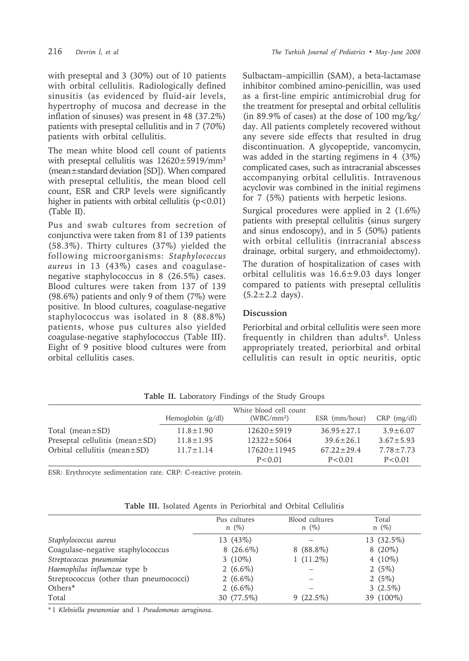with preseptal and 3 (30%) out of 10 patients with orbital cellulitis. Radiologically defined sinusitis (as evidenced by fluid-air levels, hypertrophy of mucosa and decrease in the inflation of sinuses) was present in 48 (37.2%) patients with preseptal cellulitis and in 7 (70%) patients with orbital cellulitis.

The mean white blood cell count of patients with preseptal cellulitis was  $12620 \pm 5919/\text{mm}^3$ (mean±standard deviation [SD]). When compared with preseptal cellulitis, the mean blood cell count, ESR and CRP levels were significantly higher in patients with orbital cellulitis  $(p<0.01)$ (Table II).

Pus and swab cultures from secretion of conjunctiva were taken from 81 of 139 patients (58.3%). Thirty cultures (37%) yielded the following microorganisms: *Staphylococcus aureus* in 13 (43%) cases and coagulasenegative staphylococcus in 8 (26.5%) cases. Blood cultures were taken from 137 of 139 (98.6%) patients and only 9 of them (7%) were positive. In blood cultures, coagulase-negative staphylococcus was isolated in 8 (88.8%) patients, whose pus cultures also yielded coagulase-negative staphylococcus (Table III). Eight of 9 positive blood cultures were from orbital cellulitis cases.

Sulbactam–ampicillin (SAM), a beta-lactamase inhibitor combined amino-penicillin, was used as a first-line empiric antimicrobial drug for the treatment for preseptal and orbital cellulitis (in 89.9% of cases) at the dose of 100 mg/kg/ day. All patients completely recovered without any severe side effects that resulted in drug discontinuation. A glycopeptide, vancomycin, was added in the starting regimens in 4 (3%) complicated cases, such as intracranial abscesses accompanying orbital cellulitis. Intravenous acyclovir was combined in the initial regimens for 7 (5%) patients with herpetic lesions.

Surgical procedures were applied in 2 (1.6%) patients with preseptal cellulitis (sinus surgery and sinus endoscopy), and in 5 (50%) patients with orbital cellulitis (intracranial abscess drainage, orbital surgery, and ethmoidectomy).

The duration of hospitalization of cases with orbital cellulitis was 16.6±9.03 days longer compared to patients with preseptal cellulitis  $(5.2 \pm 2.2$  days).

## **Discussion**

Periorbital and orbital cellulitis were seen more frequently in children than adults<sup>6</sup>. Unless appropriately treated, periorbital and orbital cellulitis can result in optic neuritis, optic

|                                                                                                     | Hemoglobin $(g/dl)$                                 | White blood cell count<br>$(WBC/mm^3)$                    | ESR (mm/hour)                                           | $CRP$ (mg/dl)                                        |
|-----------------------------------------------------------------------------------------------------|-----------------------------------------------------|-----------------------------------------------------------|---------------------------------------------------------|------------------------------------------------------|
| Total (mean $\pm$ SD)<br>Preseptal cellulitis (mean $\pm$ SD)<br>Orbital cellulitis (mean $\pm$ SD) | $11.8 \pm 1.90$<br>$11.8 \pm 1.95$<br>$11.7 + 1.14$ | $12620 \pm 5919$<br>$12322 \pm 5064$<br>$17620 \pm 11945$ | $36.95 \pm 27.1$<br>$39.6 \pm 26.1$<br>$67.22 \pm 29.4$ | $3.9 \pm 6.07$<br>$3.67 \pm 5.93$<br>$7.78 \pm 7.73$ |
|                                                                                                     |                                                     | P < 0.01                                                  | P < 0.01                                                | P < 0.01                                             |

**Table II.** Laboratory Findings of the Study Groups

ESR: Erythrocyte sedimentation rate. CRP: C-reactive protein.

| Table III. Isolated Agents in Periorbital and Orbital Cellulitis |  |  |  |  |  |
|------------------------------------------------------------------|--|--|--|--|--|
|------------------------------------------------------------------|--|--|--|--|--|

|                                        | Pus cultures<br>$n \ (\%)$ | Blood cultures<br>$n \ (\%)$ | Total<br>$n \ (\%)$ |
|----------------------------------------|----------------------------|------------------------------|---------------------|
| Staphylococcus aureus                  | 13 (43%)                   |                              | 13 (32.5%)          |
| Coagulase-negative staphylococcus      | $8(26.6\%)$                | $8(88.8\%)$                  | $8(20\%)$           |
| Streptococcus pneumoniae               | 3 $(10\%)$                 | $1(11.2\%)$                  | 4 $(10\%)$          |
| Haemophilus influenzae type b          | 2 $(6.6\%)$                |                              | 2 $(5%)$            |
| Streptococcus (other than pneumococci) | 2 $(6.6\%)$                |                              | 2 $(5%)$            |
| Others*                                | 2 $(6.6\%)$                |                              | $3(2.5\%)$          |
| Total                                  | 30 (77.5%)                 | $9(22.5\%)$                  | 39 (100%)           |

\*1 *Klebsiella pneumoniae* and 1 *Pseudomonas aeruginosa*.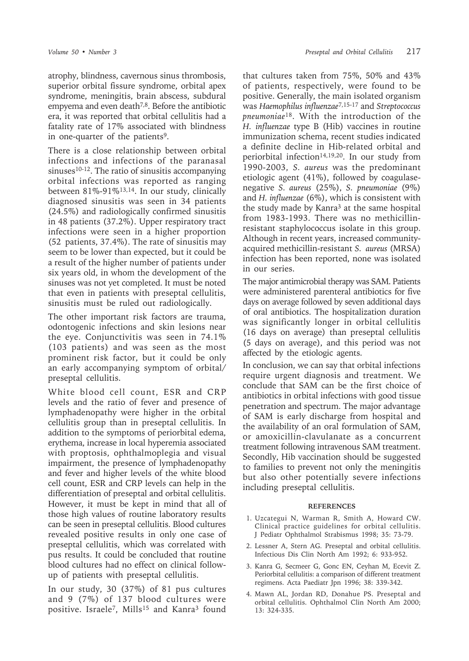atrophy, blindness, cavernous sinus thrombosis, superior orbital fissure syndrome, orbital apex syndrome, meningitis, brain abscess, subdural empyema and even death7,8. Before the antibiotic era, it was reported that orbital cellulitis had a fatality rate of 17% associated with blindness in one-quarter of the patients<sup>9</sup>.

There is a close relationship between orbital infections and infections of the paranasal  $sinuses<sup>10-12</sup>$ . The ratio of sinusitis accompanying orbital infections was reported as ranging between 81%-91%13,14. In our study, clinically diagnosed sinusitis was seen in 34 patients (24.5%) and radiologically confirmed sinusitis in 48 patients (37.2%). Upper respiratory tract infections were seen in a higher proportion (52 patients, 37.4%). The rate of sinusitis may seem to be lower than expected, but it could be a result of the higher number of patients under six years old, in whom the development of the sinuses was not yet completed. It must be noted that even in patients with preseptal cellulitis, sinusitis must be ruled out radiologically.

The other important risk factors are trauma, odontogenic infections and skin lesions near the eye. Conjunctivitis was seen in 74.1% (103 patients) and was seen as the most prominent risk factor, but it could be only an early accompanying symptom of orbital/ preseptal cellulitis.

White blood cell count, ESR and CRP levels and the ratio of fever and presence of lymphadenopathy were higher in the orbital cellulitis group than in preseptal cellulitis. In addition to the symptoms of periorbital edema, erythema, increase in local hyperemia associated with proptosis, ophthalmoplegia and visual impairment, the presence of lymphadenopathy and fever and higher levels of the white blood cell count, ESR and CRP levels can help in the differentiation of preseptal and orbital cellulitis. However, it must be kept in mind that all of those high values of routine laboratory results can be seen in preseptal cellulitis. Blood cultures revealed positive results in only one case of preseptal cellulitis, which was correlated with pus results. It could be concluded that routine blood cultures had no effect on clinical followup of patients with preseptal cellulitis.

In our study, 30 (37%) of 81 pus cultures and 9 (7%) of 137 blood cultures were positive. Israele<sup>7</sup>, Mills<sup>15</sup> and Kanra<sup>3</sup> found

that cultures taken from 75%, 50% and 43% of patients, respectively, were found to be positive. Generally, the main isolated organism was *Haemophilus influenzae*7,15-17 and *Streptococcus pneumoniae*18. With the introduction of the *H. influenzae* type B (Hib) vaccines in routine immunization schema, recent studies indicated a definite decline in Hib-related orbital and periorbital infection<sup>14,19,20</sup>. In our study from 1990-2003, *S. aureus* was the predominant etiologic agent (41%), followed by coagulasenegative *S. aureus* (25%), *S. pneumoniae* (9%) and *H. influenzae* (6%), which is consistent with the study made by Kanra<sup>3</sup> at the same hospital from 1983-1993. There was no methicillinresistant staphylococcus isolate in this group. Although in recent years, increased communityacquired methicillin-resistant *S. aureus* (MRSA) infection has been reported, none was isolated in our series.

The major antimicrobial therapy was SAM. Patients were administered parenteral antibiotics for five days on average followed by seven additional days of oral antibiotics. The hospitalization duration was significantly longer in orbital cellulitis (16 days on average) than preseptal cellulitis (5 days on average), and this period was not affected by the etiologic agents.

In conclusion, we can say that orbital infections require urgent diagnosis and treatment. We conclude that SAM can be the first choice of antibiotics in orbital infections with good tissue penetration and spectrum. The major advantage of SAM is early discharge from hospital and the availability of an oral formulation of SAM, or amoxicillin-clavulanate as a concurrent treatment following intravenous SAM treatment. Secondly, Hib vaccination should be suggested to families to prevent not only the meningitis but also other potentially severe infections including preseptal cellulitis.

#### **REFERENCES**

- 1. Uzcategui N, Warman R, Smith A, Howard CW. Clinical practice guidelines for orbital cellulitis. J Pediatr Ophthalmol Strabismus 1998; 35: 73-79.
- 2. Lessner A, Stern AG. Preseptal and orbital cellulitis. Infectious Dis Clin North Am 1992; 6: 933-952.
- 3. Kanra G, Secmeer G, Gonc EN, Ceyhan M, Ecevit Z. Periorbital cellulitis: a comparison of different treatment regimens. Acta Paediatr Jpn 1996; 38: 339-342.
- 4. Mawn AL, Jordan RD, Donahue PS. Preseptal and orbital cellulitis. Ophthalmol Clin North Am 2000; 13: 324-335.